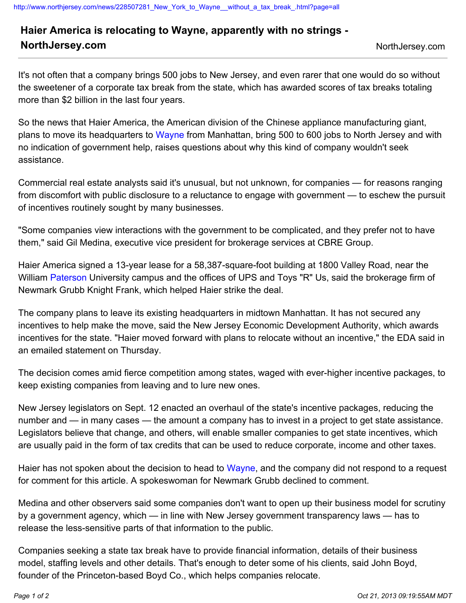## **Haier America is relocating to Wayne, apparently with no strings -**

## **NorthJersey.com** NorthJersey.com

It's not often that a company brings 500 jobs to New Jersey, and even rarer that one would do so without the sweetener of a corporate tax break from the state, which has awarded scores of tax breaks totaling more than \$2 billion in the last four years.

So the news that Haier America, the American division of the Chinese appliance manufacturing giant, plans to move its headquarters to [Wayne](http://www.northjersey.com/wayne) from Manhattan, bring 500 to 600 jobs to North Jersey and with no indication of government help, raises questions about why this kind of company wouldn't seek assistance.

Commercial real estate analysts said it's unusual, but not unknown, for companies — for reasons ranging from discomfort with public disclosure to a reluctance to engage with government — to eschew the pursuit of incentives routinely sought by many businesses.

"Some companies view interactions with the government to be complicated, and they prefer not to have them," said Gil Medina, executive vice president for brokerage services at CBRE Group.

Haier America signed a 13-year lease for a 58,387-square-foot building at 1800 Valley Road, near the William [Paterson](http://www.northjersey.com/paterson) University campus and the offices of UPS and Toys "R" Us, said the brokerage firm of Newmark Grubb Knight Frank, which helped Haier strike the deal.

The company plans to leave its existing headquarters in midtown Manhattan. It has not secured any incentives to help make the move, said the New Jersey Economic Development Authority, which awards incentives for the state. "Haier moved forward with plans to relocate without an incentive," the EDA said in an emailed statement on Thursday.

The decision comes amid fierce competition among states, waged with ever-higher incentive packages, to keep existing companies from leaving and to lure new ones.

New Jersey legislators on Sept. 12 enacted an overhaul of the state's incentive packages, reducing the number and — in many cases — the amount a company has to invest in a project to get state assistance. Legislators believe that change, and others, will enable smaller companies to get state incentives, which are usually paid in the form of tax credits that can be used to reduce corporate, income and other taxes.

Haier has not spoken about the decision to head to [Wayne,](http://www.northjersey.com/wayne) and the company did not respond to a request for comment for this article. A spokeswoman for Newmark Grubb declined to comment.

Medina and other observers said some companies don't want to open up their business model for scrutiny by a government agency, which — in line with New Jersey government transparency laws — has to release the less-sensitive parts of that information to the public.

Companies seeking a state tax break have to provide financial information, details of their business model, staffing levels and other details. That's enough to deter some of his clients, said John Boyd, founder of the Princeton-based Boyd Co., which helps companies relocate.